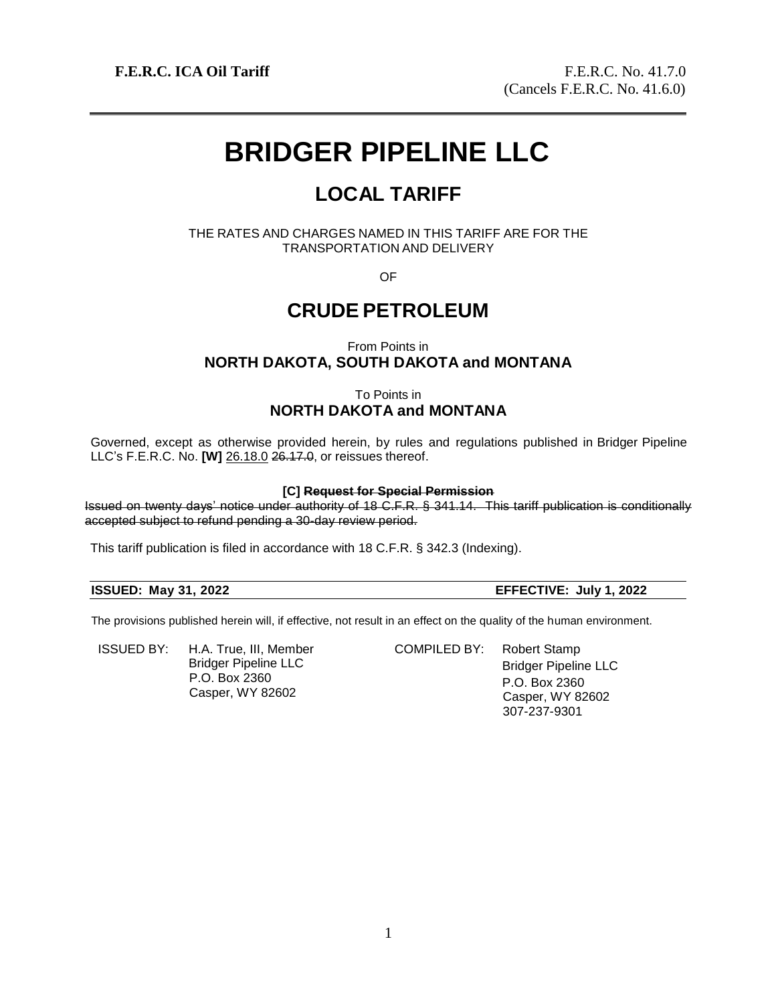# **BRIDGER PIPELINE LLC**

# **LOCAL TARIFF**

THE RATES AND CHARGES NAMED IN THIS TARIFF ARE FOR THE TRANSPORTATION AND DELIVERY

OF

## **CRUDE PETROLEUM**

From Points in **NORTH DAKOTA, SOUTH DAKOTA and MONTANA**

### To Points in **NORTH DAKOTA and MONTANA**

Governed, except as otherwise provided herein, by rules and regulations published in Bridger Pipeline LLC's F.E.R.C. No. **[W]** 26.18.0 26.17.0, or reissues thereof.

### **[C] Request for Special Permission**

Issued on twenty days' notice under authority of 18 C.F.R. § 341.14. This tariff publication is conditionally accepted subject to refund pending a 30-day review period.

This tariff publication is filed in accordance with 18 C.F.R. § 342.3 (Indexing).

**ISSUED: May 31, 2022 EFFECTIVE: July 1, 2022**

The provisions published herein will, if effective, not result in an effect on the quality of the human environment.

ISSUED BY: H.A. True, III, Member Bridger Pipeline LLC P.O. Box 2360 Casper, WY 82602

COMPILED BY: Robert Stamp

Bridger Pipeline LLC P.O. Box 2360 Casper, WY 82602 307-237-9301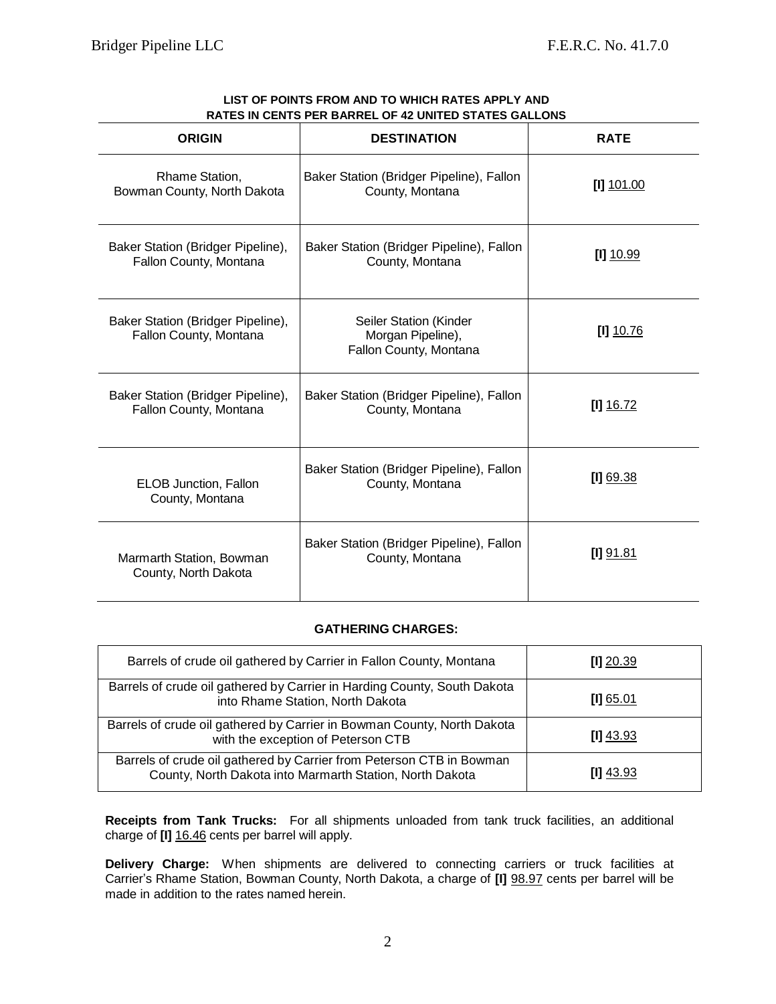| <b>ORIGIN</b>                                               | <b>DESTINATION</b>                                                    | <b>RATE</b>  |
|-------------------------------------------------------------|-----------------------------------------------------------------------|--------------|
| Rhame Station,<br>Bowman County, North Dakota               | Baker Station (Bridger Pipeline), Fallon<br>County, Montana           | $[1]$ 101.00 |
| Baker Station (Bridger Pipeline),<br>Fallon County, Montana | Baker Station (Bridger Pipeline), Fallon<br>County, Montana           | $[1]$ 10.99  |
| Baker Station (Bridger Pipeline),<br>Fallon County, Montana | Seiler Station (Kinder<br>Morgan Pipeline),<br>Fallon County, Montana | [I] $10.76$  |
| Baker Station (Bridger Pipeline),<br>Fallon County, Montana | Baker Station (Bridger Pipeline), Fallon<br>County, Montana           | $[1]$ 16.72  |
| ELOB Junction, Fallon<br>County, Montana                    | Baker Station (Bridger Pipeline), Fallon<br>County, Montana           | [1] 69.38    |
| Marmarth Station, Bowman<br>County, North Dakota            | Baker Station (Bridger Pipeline), Fallon<br>County, Montana           | $[1]$ 91.81  |

### **LIST OF POINTS FROM AND TO WHICH RATES APPLY AND RATES IN CENTS PER BARREL OF 42 UNITED STATES GALLONS**

### **GATHERING CHARGES:**

| Barrels of crude oil gathered by Carrier in Fallon County, Montana                                                               | $[1]$ 20.39 |
|----------------------------------------------------------------------------------------------------------------------------------|-------------|
| Barrels of crude oil gathered by Carrier in Harding County, South Dakota<br>into Rhame Station, North Dakota                     | [I] $65.01$ |
| Barrels of crude oil gathered by Carrier in Bowman County, North Dakota<br>with the exception of Peterson CTB                    | $[1]$ 43.93 |
| Barrels of crude oil gathered by Carrier from Peterson CTB in Bowman<br>County, North Dakota into Marmarth Station, North Dakota | $[1]$ 43.93 |

**Receipts from Tank Trucks:** For all shipments unloaded from tank truck facilities, an additional charge of **[I]** 16.46 cents per barrel will apply.

**Delivery Charge:** When shipments are delivered to connecting carriers or truck facilities at Carrier's Rhame Station, Bowman County, North Dakota, a charge of **[I]** 98.97 cents per barrel will be made in addition to the rates named herein.